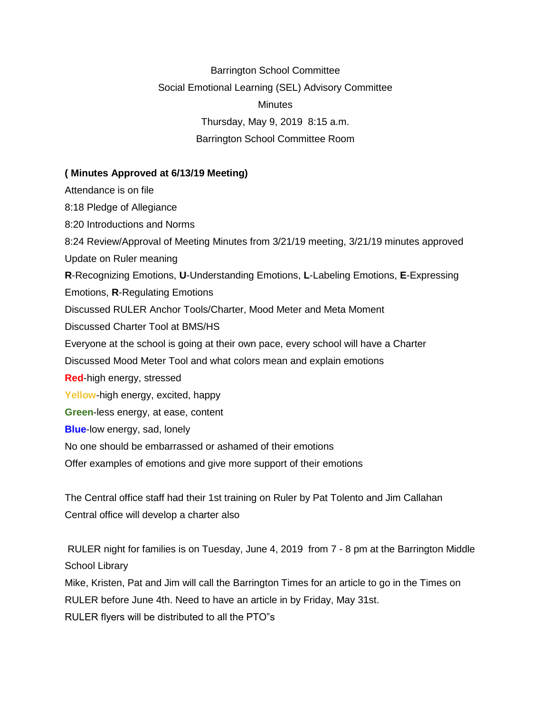Barrington School Committee Social Emotional Learning (SEL) Advisory Committee **Minutes** Thursday, May 9, 2019 8:15 a.m. Barrington School Committee Room

#### **( Minutes Approved at 6/13/19 Meeting)**

Attendance is on file 8:18 Pledge of Allegiance 8:20 Introductions and Norms 8:24 Review/Approval of Meeting Minutes from 3/21/19 meeting, 3/21/19 minutes approved Update on Ruler meaning **R**-Recognizing Emotions, **U**-Understanding Emotions, **L**-Labeling Emotions, **E**-Expressing Emotions, **R**-Regulating Emotions Discussed RULER Anchor Tools/Charter, Mood Meter and Meta Moment Discussed Charter Tool at BMS/HS Everyone at the school is going at their own pace, every school will have a Charter Discussed Mood Meter Tool and what colors mean and explain emotions **Red**-high energy, stressed Yellow-high energy, excited, happy **Green**-less energy, at ease, content **Blue**-low energy, sad, lonely No one should be embarrassed or ashamed of their emotions Offer examples of emotions and give more support of their emotions

The Central office staff had their 1st training on Ruler by Pat Tolento and Jim Callahan Central office will develop a charter also

RULER night for families is on Tuesday, June 4, 2019 from 7 - 8 pm at the Barrington Middle School Library

Mike, Kristen, Pat and Jim will call the Barrington Times for an article to go in the Times on RULER before June 4th. Need to have an article in by Friday, May 31st. RULER flyers will be distributed to all the PTO"s